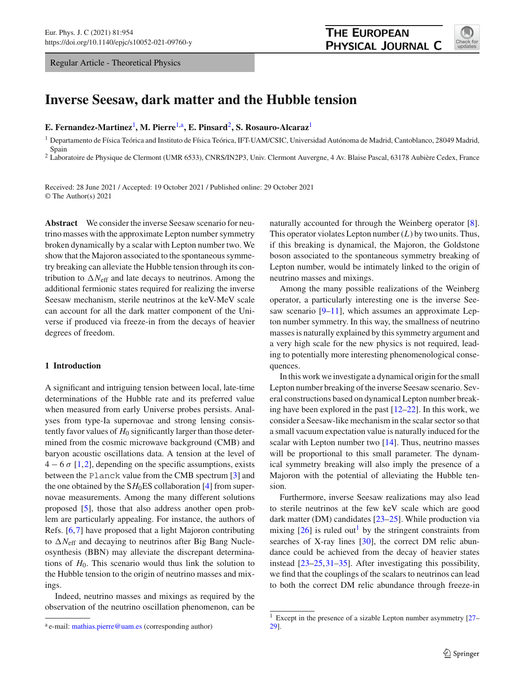Regular Article - Theoretical Physics



# **Inverse Seesaw, dark matter and the Hubble tension**

**E. Fernandez-Martinez**[1](#page-0-0) **, M. Pierre**[1,](#page-0-0)a**, E. Pinsard**[2](#page-0-0)**, S. Rosauro-Alcaraz**[1](#page-0-0)

<span id="page-0-0"></span><sup>1</sup> Departamento de Física Teórica and Instituto de Física Teórica, IFT-UAM/CSIC, Universidad Autónoma de Madrid, Cantoblanco, 28049 Madrid, Spain

<sup>2</sup> Laboratoire de Physique de Clermont (UMR 6533), CNRS/IN2P3, Univ. Clermont Auvergne, 4 Av. Blaise Pascal, 63178 Aubière Cedex, France

Received: 28 June 2021 / Accepted: 19 October 2021 / Published online: 29 October 2021 © The Author(s) 2021

**Abstract** We consider the inverse Seesaw scenario for neutrino masses with the approximate Lepton number symmetry broken dynamically by a scalar with Lepton number two. We show that the Majoron associated to the spontaneous symmetry breaking can alleviate the Hubble tension through its contribution to  $\Delta N_{\text{eff}}$  and late decays to neutrinos. Among the additional fermionic states required for realizing the inverse Seesaw mechanism, sterile neutrinos at the keV-MeV scale can account for all the dark matter component of the Universe if produced via freeze-in from the decays of heavier degrees of freedom.

## **1 Introduction**

A significant and intriguing tension between local, late-time determinations of the Hubble rate and its preferred value when measured from early Universe probes persists. Analyses from type-Ia supernovae and strong lensing consistently favor values of  $H_0$  significantly larger than those determined from the cosmic microwave background (CMB) and baryon acoustic oscillations data. A tension at the level of  $4 - 6\sigma$  [\[1](#page-10-0),[2\]](#page-10-1), depending on the specific assumptions, exists between the Planck value from the CMB spectrum [\[3](#page-10-2)] and the one obtained by the  $SH<sub>0</sub>ES$  collaboration [\[4\]](#page-10-3) from supernovae measurements. Among the many different solutions proposed [\[5](#page-10-4)], those that also address another open problem are particularly appealing. For instance, the authors of Refs. [\[6](#page-10-5)[,7](#page-10-6)] have proposed that a light Majoron contributing to  $\Delta N_{\text{eff}}$  and decaying to neutrinos after Big Bang Nucleosynthesis (BBN) may alleviate the discrepant determinations of  $H_0$ . This scenario would thus link the solution to the Hubble tension to the origin of neutrino masses and mixings.

Indeed, neutrino masses and mixings as required by the observation of the neutrino oscillation phenomenon, can be naturally accounted for through the Weinberg operator [\[8](#page-10-7)]. This operator violates Lepton number  $(L)$  by two units. Thus, if this breaking is dynamical, the Majoron, the Goldstone boson associated to the spontaneous symmetry breaking of Lepton number, would be intimately linked to the origin of neutrino masses and mixings.

Among the many possible realizations of the Weinberg operator, a particularly interesting one is the inverse See-saw scenario [\[9](#page-10-8)[–11](#page-10-9)], which assumes an approximate Lepton number symmetry. In this way, the smallness of neutrino masses is naturally explained by this symmetry argument and a very high scale for the new physics is not required, leading to potentially more interesting phenomenological consequences.

In this work we investigate a dynamical origin for the small Lepton number breaking of the inverse Seesaw scenario. Several constructions based on dynamical Lepton number breaking have been explored in the past [\[12](#page-10-10)[–22\]](#page-10-11). In this work, we consider a Seesaw-like mechanism in the scalar sector so that a small vacuum expectation value is naturally induced for the scalar with Lepton number two [\[14\]](#page-10-12). Thus, neutrino masses will be proportional to this small parameter. The dynamical symmetry breaking will also imply the presence of a Majoron with the potential of alleviating the Hubble tension.

Furthermore, inverse Seesaw realizations may also lead to sterile neutrinos at the few keV scale which are good dark matter (DM) candidates [\[23](#page-10-13)[–25\]](#page-10-14). While production via mixing  $[26]$  is ruled out<sup>[1](#page-0-1)</sup> by the stringent constraints from searches of X-ray lines [\[30\]](#page-10-16), the correct DM relic abundance could be achieved from the decay of heavier states instead [\[23](#page-10-13)[–25](#page-10-14)[,31](#page-11-0)[–35](#page-11-1)]. After investigating this possibility, we find that the couplings of the scalars to neutrinos can lead to both the correct DM relic abundance through freeze-in

<sup>&</sup>lt;sup>a</sup> e-mail: [mathias.pierre@uam.es](mailto:mathias.pierre@uam.es) (corresponding author)

<span id="page-0-1"></span><sup>1</sup> Except in the presence of a sizable Lepton number asymmetry [\[27](#page-10-17)– [29\]](#page-10-18).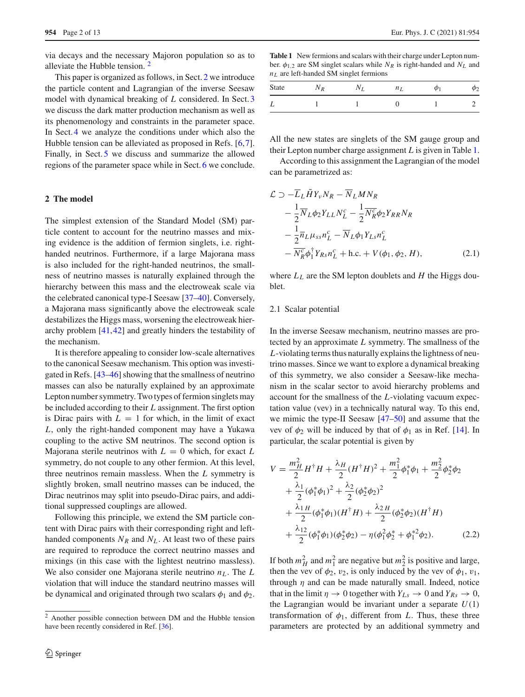via decays and the necessary Majoron population so as to alleviate the Hubble tension. [2](#page-1-0)

This paper is organized as follows, in Sect. [2](#page-1-1) we introduce the particle content and Lagrangian of the inverse Seesaw model with dynamical breaking of *L* considered. In Sect. [3](#page-3-0) we discuss the dark matter production mechanism as well as its phenomenology and constraints in the parameter space. In Sect. [4](#page-6-0) we analyze the conditions under which also the Hubble tension can be alleviated as proposed in Refs. [\[6](#page-10-5)[,7](#page-10-6)]. Finally, in Sect. [5](#page-8-0) we discuss and summarize the allowed regions of the parameter space while in Sect. [6](#page-9-0) we conclude.

# <span id="page-1-1"></span>**2 The model**

The simplest extension of the Standard Model (SM) particle content to account for the neutrino masses and mixing evidence is the addition of fermion singlets, i.e. righthanded neutrinos. Furthermore, if a large Majorana mass is also included for the right-handed neutrinos, the smallness of neutrino masses is naturally explained through the hierarchy between this mass and the electroweak scale via the celebrated canonical type-I Seesaw [\[37](#page-11-2)[–40\]](#page-11-3). Conversely, a Majorana mass significantly above the electroweak scale destabilizes the Higgs mass, worsening the electroweak hierarchy problem [\[41](#page-11-4)[,42](#page-11-5)] and greatly hinders the testability of the mechanism.

It is therefore appealing to consider low-scale alternatives to the canonical Seesaw mechanism. This option was investigated in Refs. [\[43](#page-11-6)[–46\]](#page-11-7) showing that the smallness of neutrino masses can also be naturally explained by an approximate Lepton number symmetry. Two types of fermion singlets may be included according to their *L* assignment. The first option is Dirac pairs with  $L = 1$  for which, in the limit of exact *L*, only the right-handed component may have a Yukawa coupling to the active SM neutrinos. The second option is Majorana sterile neutrinos with  $L = 0$  which, for exact  $L$ symmetry, do not couple to any other fermion. At this level, three neutrinos remain massless. When the *L* symmetry is slightly broken, small neutrino masses can be induced, the Dirac neutrinos may split into pseudo-Dirac pairs, and additional suppressed couplings are allowed.

Following this principle, we extend the SM particle content with Dirac pairs with their corresponding right and lefthanded components  $N_R$  and  $N_L$ . At least two of these pairs are required to reproduce the correct neutrino masses and mixings (in this case with the lightest neutrino massless). We also consider one Majorana sterile neutrino  $n<sub>L</sub>$ . The *L* violation that will induce the standard neutrino masses will be dynamical and originated through two scalars  $\phi_1$  and  $\phi_2$ .

<span id="page-1-2"></span>**Table 1** New fermions and scalars with their charge under Lepton number.  $\phi_{1,2}$  are SM singlet scalars while  $N_R$  is right-handed and  $N_L$  and  $n<sub>L</sub>$  are left-handed SM singlet fermions

| State | $\overline{R}$ | $n_L$ | ω1 |  |
|-------|----------------|-------|----|--|
|       |                |       |    |  |

All the new states are singlets of the SM gauge group and their Lepton number charge assignment *L* is given in Table [1.](#page-1-2)

According to this assignment the Lagrangian of the model can be parametrized as:

$$
\mathcal{L} \supset -\overline{L}_L \tilde{H} Y_v N_R - \overline{N}_L M N_R
$$
  
\n
$$
- \frac{1}{2} \overline{N}_L \phi_2 Y_{LL} N_L^c - \frac{1}{2} \overline{N}_R^c \phi_2 Y_{RR} N_R
$$
  
\n
$$
- \frac{1}{2} \overline{n}_L \mu_{ss} n_L^c - \overline{N}_L \phi_1 Y_{Ls} n_L^c
$$
  
\n
$$
- \overline{N}_R^c \phi_1^{\dagger} Y_{Rs} n_L^c + \text{h.c.} + V(\phi_1, \phi_2, H), \qquad (2.1)
$$

where  $L<sub>L</sub>$  are the SM lepton doublets and *H* the Higgs doublet.

### 2.1 Scalar potential

In the inverse Seesaw mechanism, neutrino masses are protected by an approximate *L* symmetry. The smallness of the *L*-violating terms thus naturally explains the lightness of neutrino masses. Since we want to explore a dynamical breaking of this symmetry, we also consider a Seesaw-like mechanism in the scalar sector to avoid hierarchy problems and account for the smallness of the *L*-violating vacuum expectation value (vev) in a technically natural way. To this end, we mimic the type-II Seesaw [\[47](#page-11-9)[–50\]](#page-11-10) and assume that the vev of  $\phi_2$  will be induced by that of  $\phi_1$  as in Ref. [\[14\]](#page-10-12). In particular, the scalar potential is given by

$$
V = \frac{m_H^2}{2} H^{\dagger} H + \frac{\lambda_H}{2} (H^{\dagger} H)^2 + \frac{m_1^2}{2} \phi_1^* \phi_1 + \frac{m_2^2}{2} \phi_2^* \phi_2 + \frac{\lambda_1}{2} (\phi_1^* \phi_1)^2 + \frac{\lambda_2}{2} (\phi_2^* \phi_2)^2 + \frac{\lambda_1 H}{2} (\phi_1^* \phi_1) (H^{\dagger} H) + \frac{\lambda_2 H}{2} (\phi_2^* \phi_2) (H^{\dagger} H) + \frac{\lambda_{12}}{2} (\phi_1^* \phi_1) (\phi_2^* \phi_2) - \eta (\phi_1^2 \phi_2^* + \phi_1^{*2} \phi_2).
$$
 (2.2)

If both  $m_H^2$  and  $m_1^2$  are negative but  $m_2^2$  is positive and large, then the vev of  $\phi_2$ ,  $v_2$ , is only induced by the vev of  $\phi_1$ ,  $v_1$ , through  $\eta$  and can be made naturally small. Indeed, notice that in the limit  $\eta \to 0$  together with  $Y_{Ls} \to 0$  and  $Y_{Rs} \to 0$ , the Lagrangian would be invariant under a separate  $U(1)$ transformation of  $\phi_1$ , different from *L*. Thus, these three parameters are protected by an additional symmetry and

<span id="page-1-0"></span><sup>2</sup> Another possible connection between DM and the Hubble tension have been recently considered in Ref. [\[36\]](#page-11-8).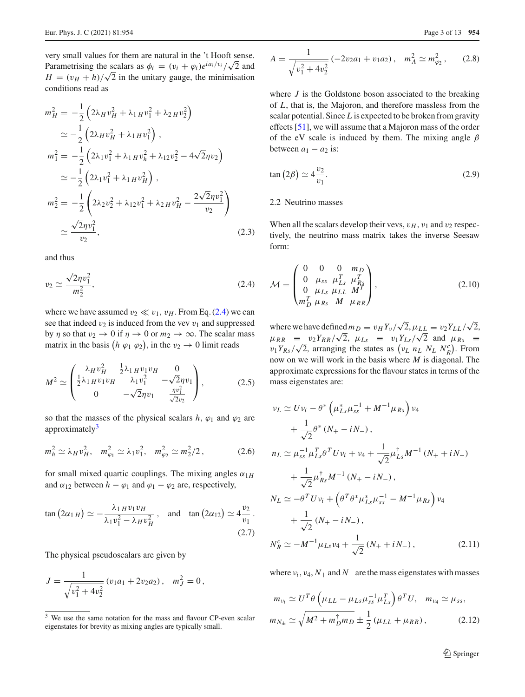very small values for them are natural in the 't Hooft sense. Parametrising the scalars as  $\phi_i = (v_i + \varphi_i)e^{i a_i/v_i}/\sqrt{2}$  and  $H = (v_H + h)/\sqrt{2}$  in the unitary gauge, the minimisation conditions read as

$$
m_H^2 = -\frac{1}{2} \left( 2\lambda_H v_H^2 + \lambda_1 H v_1^2 + \lambda_2 H v_2^2 \right)
$$
  
\n
$$
\approx -\frac{1}{2} \left( 2\lambda_H v_H^2 + \lambda_1 H v_1^2 \right),
$$
  
\n
$$
m_1^2 = -\frac{1}{2} \left( 2\lambda_1 v_1^2 + \lambda_1 H v_h^2 + \lambda_{12} v_2^2 - 4\sqrt{2} \eta v_2 \right)
$$
  
\n
$$
\approx -\frac{1}{2} \left( 2\lambda_1 v_1^2 + \lambda_1 H v_H^2 \right),
$$
  
\n
$$
m_2^2 = -\frac{1}{2} \left( 2\lambda_2 v_2^2 + \lambda_{12} v_1^2 + \lambda_2 H v_H^2 - \frac{2\sqrt{2} \eta v_1^2}{v_2} \right)
$$
  
\n
$$
\approx \frac{\sqrt{2} \eta v_1^2}{v_2},
$$
\n(2.3)

<span id="page-2-0"></span>and thus

$$
v_2 \simeq \frac{\sqrt{2}\eta v_1^2}{m_2^2},\tag{2.4}
$$

where we have assumed  $v_2 \ll v_1$ ,  $v_H$ . From Eq. [\(2.4\)](#page-2-0) we can see that indeed  $v_2$  is induced from the vev  $v_1$  and suppressed by  $\eta$  so that  $v_2 \to 0$  if  $\eta \to 0$  or  $m_2 \to \infty$ . The scalar mass matrix in the basis  $(h \varphi_1 \varphi_2)$ , in the  $v_2 \to 0$  limit reads

$$
M^{2} \simeq \begin{pmatrix} \lambda_{H}v_{H}^{2} & \frac{1}{2}\lambda_{1H}v_{1}v_{H} & 0\\ \frac{1}{2}\lambda_{1H}v_{1}v_{H} & \lambda_{1}v_{1}^{2} & -\sqrt{2}\eta v_{1} \\ 0 & -\sqrt{2}\eta v_{1} & \frac{\eta v_{1}^{2}}{\sqrt{2}v_{2}} \end{pmatrix},
$$
(2.5)

so that the masses of the physical scalars  $h$ ,  $\varphi_1$  and  $\varphi_2$  are approximately $3$ 

$$
m_h^2 \simeq \lambda_H v_H^2, \quad m_{\varphi_1}^2 \simeq \lambda_1 v_1^2, \quad m_{\varphi_2}^2 \simeq m_2^2/2 \,, \tag{2.6}
$$

for small mixed quartic couplings. The mixing angles  $\alpha_{1H}$ and  $\alpha_{12}$  between  $h - \varphi_1$  and  $\varphi_1 - \varphi_2$  are, respectively,

$$
\tan\left(2\alpha_{1\,H}\right) \simeq -\frac{\lambda_1\,H\,v_1\,v_H}{\lambda_1\,v_1^2 - \lambda_H\,v_H^2}, \quad \text{and} \quad \tan\left(2\alpha_{12}\right) \simeq 4\frac{v_2}{v_1}.
$$
\n
$$
(2.7)
$$

The physical pseudoscalars are given by

$$
J = \frac{1}{\sqrt{v_1^2 + 4v_2^2}} (v_1a_1 + 2v_2a_2), \quad m_J^2 = 0,
$$

$$
A = \frac{1}{\sqrt{v_1^2 + 4v_2^2}} \left( -2v_2 a_1 + v_1 a_2 \right), \quad m_A^2 \simeq m_{\varphi_2}^2, \qquad (2.8)
$$

where *J* is the Goldstone boson associated to the breaking of *L*, that is, the Majoron, and therefore massless from the scalar potential. Since *L* is expected to be broken from gravity effects [\[51\]](#page-11-11), we will assume that a Majoron mass of the order of the eV scale is induced by them. The mixing angle  $\beta$ between  $a_1 - a_2$  is:

$$
\tan\left(2\beta\right) \simeq 4\frac{v_2}{v_1}.\tag{2.9}
$$

## 2.2 Neutrino masses

When all the scalars develop their vevs,  $v_H$ ,  $v_1$  and  $v_2$  respectively, the neutrino mass matrix takes the inverse Seesaw form:

$$
\mathcal{M} = \begin{pmatrix} 0 & 0 & 0 & m_D \\ 0 & \mu_{ss} & \mu_{Ls}^T & \mu_{Rs}^T \\ 0 & \mu_{Ls} & \mu_{LL} & M^T \\ m_D^T & \mu_{Rs} & M & \mu_{RR} \end{pmatrix},
$$
(2.10)

where we have defined  $m_D \equiv v_H Y_v / \sqrt{2}$ ,  $\mu_{LL} \equiv v_2 Y_{LL} / \sqrt{2}$ ,  $\mu_{RR}$  =  $v_2Y_{RR}/\sqrt{2}$ ,  $\mu_{Ls}$  =  $v_1Y_{Ls}/\sqrt{2}$  and  $\mu_{Rs}$  =  $v_1Y_{Rs}/\sqrt{2}$ , arranging the states as  $(v_L n_L N_L N_R^c)$ . From now on we will work in the basis where *M* is diagonal. The approximate expressions for the flavour states in terms of the mass eigenstates are:

$$
\nu_{L} \simeq U \nu_{i} - \theta^{*} \left( \mu_{Ls}^{*} \mu_{ss}^{-1} + M^{-1} \mu_{Rs} \right) \nu_{4} \n+ \frac{1}{\sqrt{2}} \theta^{*} \left( N_{+} - i N_{-} \right), \n n_{L} \simeq \mu_{ss}^{-1} \mu_{Ls}^{T} \theta^{T} U \nu_{i} + \nu_{4} + \frac{1}{\sqrt{2}} \mu_{Ls}^{\dagger} M^{-1} \left( N_{+} + i N_{-} \right) \n+ \frac{1}{\sqrt{2}} \mu_{Rs}^{\dagger} M^{-1} \left( N_{+} - i N_{-} \right), \n N_{L} \simeq -\theta^{T} U \nu_{i} + \left( \theta^{T} \theta^{*} \mu_{Ls}^{*} \mu_{ss}^{-1} - M^{-1} \mu_{Rs} \right) \nu_{4} \n+ \frac{1}{\sqrt{2}} \left( N_{+} - i N_{-} \right), \n N_{R}^{c} \simeq -M^{-1} \mu_{Ls} \nu_{4} + \frac{1}{\sqrt{2}} \left( N_{+} + i N_{-} \right), \tag{2.11}
$$

<span id="page-2-2"></span>where  $v_i$ ,  $v_4$ ,  $N_+$  and  $N_-$  are the mass eigenstates with masses

$$
m_{\nu_i} \simeq U^T \theta \left( \mu_{LL} - \mu_{Ls} \mu_{ss}^{-1} \mu_{Ls}^T \right) \theta^T U, \quad m_{\nu_4} \simeq \mu_{ss},
$$
  

$$
m_{N_{\pm}} \simeq \sqrt{M^2 + m_D^{\dagger} m_D} \pm \frac{1}{2} (\mu_{LL} + \mu_{RR}), \qquad (2.12)
$$

<span id="page-2-1"></span><sup>3</sup> We use the same notation for the mass and flavour CP-even scalar eigenstates for brevity as mixing angles are typically small.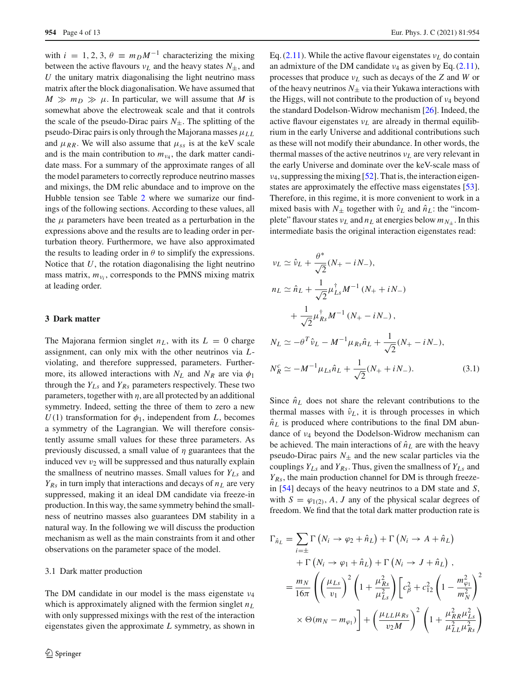with  $i = 1, 2, 3, \theta \equiv m_D M^{-1}$  characterizing the mixing between the active flavours  $v_L$  and the heavy states  $N_{\pm}$ , and  $U$  the unitary matrix diagonalising the light neutrino mass matrix after the block diagonalisation. We have assumed that  $M \gg m_D \gg \mu$ . In particular, we will assume that *M* is somewhat above the electroweak scale and that it controls the scale of the pseudo-Dirac pairs  $N_{\pm}$ . The splitting of the pseudo-Dirac pairs is only through the Majorana masses  $\mu_{LL}$ and  $\mu_{RR}$ . We will also assume that  $\mu_{ss}$  is at the keV scale and is the main contribution to  $m_{\nu_4}$ , the dark matter candidate mass. For a summary of the approximate ranges of all the model parameters to correctly reproduce neutrino masses and mixings, the DM relic abundace and to improve on the Hubble tension see Table [2](#page-8-1) where we sumarize our findings of the following sections. According to these values, all the  $\mu$  parameters have been treated as a perturbation in the expressions above and the results are to leading order in perturbation theory. Furthermore, we have also approximated the results to leading order in  $\theta$  to simplify the expressions. Notice that *U*, the rotation diagonalising the light neutrino mass matrix,  $m_{v_i}$ , corresponds to the PMNS mixing matrix at leading order.

### <span id="page-3-0"></span>**3 Dark matter**

The Majorana fermion singlet  $n<sub>L</sub>$ , with its  $L = 0$  charge assignment, can only mix with the other neutrinos via *L*violating, and therefore suppressed, parameters. Furthermore, its allowed interactions with  $N_L$  and  $N_R$  are via  $\phi_1$ through the  $Y_{Ls}$  and  $Y_{Rs}$  parameters respectively. These two parameters, together with  $\eta$ , are all protected by an additional symmetry. Indeed, setting the three of them to zero a new  $U(1)$  transformation for  $\phi_1$ , independent from *L*, becomes a symmetry of the Lagrangian. We will therefore consistently assume small values for these three parameters. As previously discussed, a small value of  $\eta$  guarantees that the induced vev  $v_2$  will be suppressed and thus naturally explain the smallness of neutrino masses. Small values for *YLs* and  $Y_{Rs}$  in turn imply that interactions and decays of  $n<sub>L</sub>$  are very suppressed, making it an ideal DM candidate via freeze-in production. In this way, the same symmetry behind the smallness of neutrino masses also guarantees DM stability in a natural way. In the following we will discuss the production mechanism as well as the main constraints from it and other observations on the parameter space of the model.

# 3.1 Dark matter production

The DM candidate in our model is the mass eigenstate  $\nu_4$ which is approximately aligned with the fermion singlet  $n<sub>L</sub>$ with only suppressed mixings with the rest of the interaction eigenstates given the approximate *L* symmetry, as shown in Eq.  $(2.11)$ . While the active flavour eigenstates  $v<sub>L</sub>$  do contain an admixture of the DM candidate  $v_4$  as given by Eq. [\(2.11\)](#page-2-2), processes that produce ν*<sup>L</sup>* such as decays of the *Z* and *W* or of the heavy neutrinos  $N_+$  via their Yukawa interactions with the Higgs, will not contribute to the production of  $\nu_4$  beyond the standard Dodelson-Widrow mechanism [\[26\]](#page-10-15). Indeed, the active flavour eigenstates ν*L* are already in thermal equilibrium in the early Universe and additional contributions such as these will not modify their abundance. In other words, the thermal masses of the active neutrinos ν*L* are very relevant in the early Universe and dominate over the keV-scale mass of  $\nu_4$ , suppressing the mixing [\[52](#page-11-12)]. That is, the interaction eigenstates are approximately the effective mass eigenstates [\[53](#page-11-13)]. Therefore, in this regime, it is more convenient to work in a mixed basis with  $N_{\pm}$  together with  $\hat{v}_L$  and  $\hat{n}_L$ : the "incomplete" flavour states  $v_L$  and  $n_L$  at energies below  $m_{N_{\pm}}$ . In this intermediate basis the original interaction eigenstates read:

$$
\nu_L \simeq \hat{\nu}_L + \frac{\theta^*}{\sqrt{2}} (N_+ - iN_-),
$$
  
\n
$$
n_L \simeq \hat{n}_L + \frac{1}{\sqrt{2}} \mu_{Ls}^{\dagger} M^{-1} (N_+ + iN_-)
$$
  
\n
$$
+ \frac{1}{\sqrt{2}} \mu_{Rs}^{\dagger} M^{-1} (N_+ - iN_-),
$$
  
\n
$$
N_L \simeq -\theta^T \hat{\nu}_L - M^{-1} \mu_{Rs} \hat{n}_L + \frac{1}{\sqrt{2}} (N_+ - iN_-),
$$
  
\n
$$
N_R^c \simeq -M^{-1} \mu_{Ls} \hat{n}_L + \frac{1}{\sqrt{2}} (N_+ + iN_-).
$$
 (3.1)

Since  $\hat{n}_L$  does not share the relevant contributions to the thermal masses with  $\hat{v}_L$ , it is through processes in which  $\hat{n}_L$  is produced where contributions to the final DM abundance of ν<sup>4</sup> beyond the Dodelson-Widrow mechanism can be achieved. The main interactions of  $\hat{n}_L$  are with the heavy pseudo-Dirac pairs  $N_{\pm}$  and the new scalar particles via the couplings *YLs* and *YRs*. Thus, given the smallness of *YLs* and *YRs*, the main production channel for DM is through freezein [\[54](#page-11-14)] decays of the heavy neutrinos to a DM state and *S*, with  $S = \varphi_{1(2)}$ , *A*, *J* any of the physical scalar degrees of freedom. We find that the total dark matter production rate is

$$
\Gamma_{\hat{n}_L} = \sum_{i=\pm} \Gamma\left(N_i \to \varphi_2 + \hat{n}_L\right) + \Gamma\left(N_i \to A + \hat{n}_L\right)
$$
  
+ 
$$
\Gamma\left(N_i \to \varphi_1 + \hat{n}_L\right) + \Gamma\left(N_i \to J + \hat{n}_L\right),
$$
  
= 
$$
\frac{m_N}{16\pi} \left( \left(\frac{\mu_{Ls}}{v_1}\right)^2 \left(1 + \frac{\mu_{Rs}^2}{\mu_{LS}^2}\right) \left[c_\beta^2 + c_{12}^2 \left(1 - \frac{m_{\varphi_1}^2}{m_N^2}\right)^2\right]
$$
  

$$
\times \Theta(m_N - m_{\varphi_1}) \right] + \left(\frac{\mu_{LL}\mu_{Rs}}{v_2M}\right)^2 \left(1 + \frac{\mu_{RR}^2 \mu_{LS}^2}{\mu_{LL}^2 \mu_{Rs}^2}\right)
$$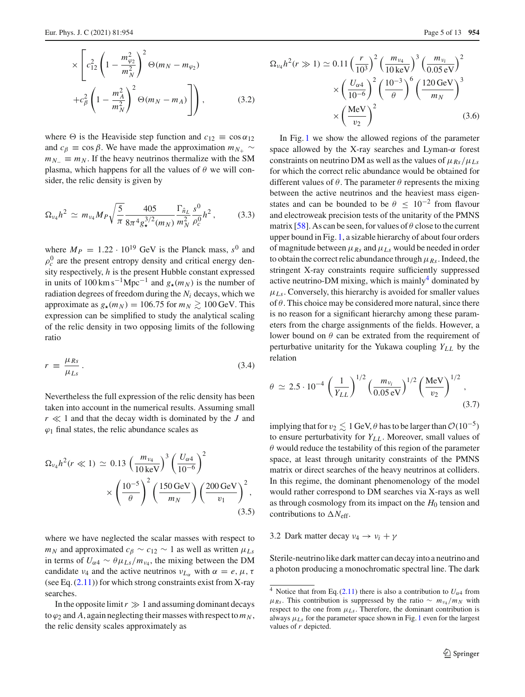$$
\times \left[ c_{12}^2 \left( 1 - \frac{m_{\varphi_2}^2}{m_N^2} \right)^2 \Theta(m_N - m_{\varphi_2}) + c_{\beta}^2 \left( 1 - \frac{m_A^2}{m_N^2} \right)^2 \Theta(m_N - m_A) \right] \right),
$$
 (3.2)

where  $\Theta$  is the Heaviside step function and  $c_{12} \equiv \cos \alpha_{12}$ and  $c_\beta \equiv \cos \beta$ . We have made the approximation  $m_{N_+} \sim$  $m_{N-} \equiv m_N$ . If the heavy neutrinos thermalize with the SM plasma, which happens for all the values of  $\theta$  we will consider, the relic density is given by

$$
\Omega_{\nu_4} h^2 \simeq m_{\nu_4} M_P \sqrt{\frac{5}{\pi}} \frac{405}{8\pi^4 g_{\star}^{3/2} (m_N)} \frac{\Gamma_{\hat{n}_L}^2}{m_N^2} \frac{s^0}{\rho_c^0} h^2 \,, \tag{3.3}
$$

where  $M_P = 1.22 \cdot 10^{19}$  GeV is the Planck mass,  $s^0$  and  $\rho_c^0$  are the present entropy density and critical energy density respectively, *h* is the present Hubble constant expressed in units of 100 km s<sup>-1</sup>Mpc<sup>-1</sup> and  $g_{\star}(m_N)$  is the number of radiation degrees of freedom during the *Ni* decays, which we approximate as  $g_{\star}(m_N) = 106.75$  for  $m_N \gtrsim 100$  GeV. This expression can be simplified to study the analytical scaling of the relic density in two opposing limits of the following ratio

$$
r = \frac{\mu_{Rs}}{\mu_{Ls}}.\tag{3.4}
$$

Nevertheless the full expression of the relic density has been taken into account in the numerical results. Assuming small  $r \ll 1$  and that the decay width is dominated by the *J* and  $\varphi_1$  final states, the relic abundance scales as

$$
\Omega_{\nu_4} h^2(r \ll 1) \simeq 0.13 \left(\frac{m_{\nu_4}}{10 \,\text{keV}}\right)^3 \left(\frac{U_{\alpha 4}}{10^{-6}}\right)^2
$$

$$
\times \left(\frac{10^{-5}}{\theta}\right)^2 \left(\frac{150 \,\text{GeV}}{m_N}\right) \left(\frac{200 \,\text{GeV}}{v_1}\right)^2,
$$
(3.5)

where we have neglected the scalar masses with respect to  $m_N$  and approximated  $c_B \sim c_{12} \sim 1$  as well as written  $\mu_{Ls}$ in terms of  $U_{\alpha 4} \sim \theta \mu_{Ls}/m_{\nu_4}$ , the mixing between the DM candidate  $\nu_4$  and the active neutrinos  $\nu_{L_\alpha}$  with  $\alpha = e, \mu, \tau$ (see Eq.  $(2.11)$ ) for which strong constraints exist from X-ray searches.

In the opposite  $\lim_{x \to 1}$  and assuming dominant decays to  $\varphi_2$  and A, again neglecting their masses with respect to  $m_N$ , the relic density scales approximately as

$$
\Omega_{\nu_4} h^2(r \gg 1) \simeq 0.11 \left(\frac{r}{10^3}\right)^2 \left(\frac{m_{\nu_4}}{10 \text{ keV}}\right)^3 \left(\frac{m_{\nu_i}}{0.05 \text{ eV}}\right)^2 \times \left(\frac{U_{\alpha 4}}{10^{-6}}\right)^2 \left(\frac{10^{-3}}{\theta}\right)^6 \left(\frac{120 \text{ GeV}}{m_N}\right)^3 \times \left(\frac{\text{MeV}}{\nu_2}\right)^2
$$
\n(3.6)

In Fig. [1](#page-5-0) we show the allowed regions of the parameter space allowed by the X-ray searches and Lyman- $\alpha$  forest constraints on neutrino DM as well as the values of  $\mu_{Rs}/\mu_{Ls}$ for which the correct relic abundance would be obtained for different values of  $\theta$ . The parameter  $\theta$  represents the mixing between the active neutrinos and the heaviest mass eigenstates and can be bounded to be  $\theta \leq 10^{-2}$  from flavour and electroweak precision tests of the unitarity of the PMNS matrix [\[58\]](#page-11-15). As can be seen, for values of  $\theta$  close to the current upper bound in Fig. [1,](#page-5-0) a sizable hierarchy of about four orders of magnitude between  $\mu_{Rs}$  and  $\mu_{Ls}$  would be needed in order to obtain the correct relic abundance through  $\mu_{Rs}$ . Indeed, the stringent X-ray constraints require sufficiently suppressed active neutrino-DM mixing, which is mainly $4$  dominated by  $\mu_{Ls}$ . Conversely, this hierarchy is avoided for smaller values of  $\theta$ . This choice may be considered more natural, since there is no reason for a significant hierarchy among these parameters from the charge assignments of the fields. However, a lower bound on  $\theta$  can be extrated from the requirement of perturbative unitarity for the Yukawa coupling  $Y_{LL}$  by the relation

$$
\theta \simeq 2.5 \cdot 10^{-4} \left(\frac{1}{Y_{LL}}\right)^{1/2} \left(\frac{m_{v_i}}{0.05 \text{ eV}}\right)^{1/2} \left(\frac{\text{MeV}}{v_2}\right)^{1/2},\tag{3.7}
$$

implying that for  $v_2 \lesssim 1$  GeV,  $\theta$  has to be larger than  $\mathcal{O}(10^{-5})$ to ensure perturbativity for  $Y_{LL}$ . Moreover, small values of  $\theta$  would reduce the testability of this region of the parameter space, at least through unitarity constraints of the PMNS matrix or direct searches of the heavy neutrinos at colliders. In this regime, the dominant phenomenology of the model would rather correspond to DM searches via X-rays as well as through cosmology from its impact on the *H*<sup>0</sup> tension and contributions to  $\Delta N_{\text{eff}}$ .

3.2 Dark matter decay  $v_4 \rightarrow v_i + \gamma$ 

Sterile-neutrino like dark matter can decay into a neutrino and a photon producing a monochromatic spectral line. The dark

<span id="page-4-0"></span><sup>&</sup>lt;sup>4</sup> Notice that from Eq. [\(2.11\)](#page-2-2) there is also a contribution to  $U_{\alpha 4}$  from  $\mu_{Rs}$ . This contribution is suppressed by the ratio ∼  $m_{\nu_4}/m_N$  with respect to the one from  $\mu_{Ls}$ . Therefore, the dominant contribution is always  $\mu_{Ls}$  for the parameter space shown in Fig. [1](#page-5-0) even for the largest values of *r* depicted.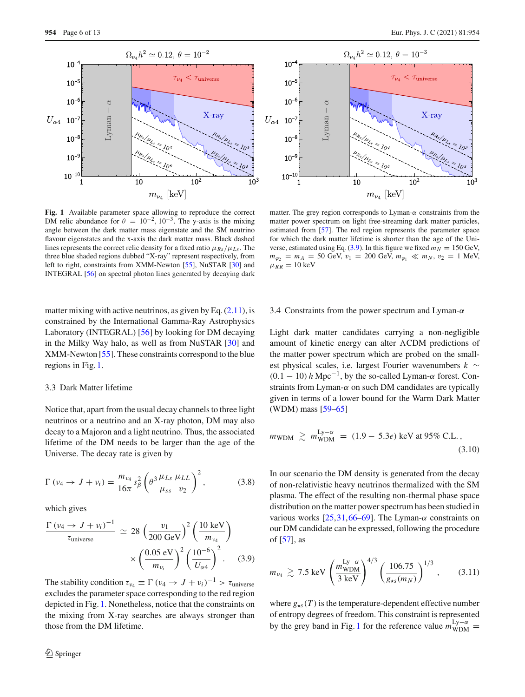

<span id="page-5-0"></span>**Fig. 1** Available parameter space allowing to reproduce the correct DM relic abundance for  $\theta = 10^{-2}$ ,  $10^{-3}$ . The y-axis is the mixing angle between the dark matter mass eigenstate and the SM neutrino flavour eigenstates and the x-axis the dark matter mass. Black dashed lines represents the correct relic density for a fixed ratio  $\mu_{Rs}/\mu_{Ls}$ . The three blue shaded regions dubbed "X-ray" represent respectively, from left to right, constraints from XMM-Newton [\[55](#page-11-16)], NuSTAR [\[30](#page-10-16)] and INTEGRAL [\[56\]](#page-11-17) on spectral photon lines generated by decaying dark

matter mixing with active neutrinos, as given by Eq.  $(2.11)$ , is constrained by the International Gamma-Ray Astrophysics Laboratory (INTEGRAL) [\[56\]](#page-11-17) by looking for DM decaying in the Milky Way halo, as well as from NuSTAR [\[30](#page-10-16)] and XMM-Newton [\[55](#page-11-16)]. These constraints correspond to the blue regions in Fig. [1.](#page-5-0)

#### 3.3 Dark Matter lifetime

Notice that, apart from the usual decay channels to three light neutrinos or a neutrino and an X-ray photon, DM may also decay to a Majoron and a light neutrino. Thus, the associated lifetime of the DM needs to be larger than the age of the Universe. The decay rate is given by

$$
\Gamma(\nu_4 \to J + \nu_i) = \frac{m_{\nu_4}}{16\pi} s_{\beta}^2 \left( \theta^3 \frac{\mu_{Ls}}{\mu_{ss}} \frac{\mu_{LL}}{\nu_2} \right)^2, \tag{3.8}
$$

which gives

<span id="page-5-1"></span>
$$
\frac{\Gamma(\nu_4 \to J + \nu_i)^{-1}}{\tau_{\text{universe}}} \simeq 28 \left(\frac{\nu_1}{200 \text{ GeV}}\right)^2 \left(\frac{10 \text{ keV}}{m_{\nu_4}}\right) \times \left(\frac{0.05 \text{ eV}}{m_{\nu_i}}\right)^2 \left(\frac{10^{-6}}{U_{\alpha 4}}\right)^2. \tag{3.9}
$$

The stability condition  $\tau_{\nu_4} \equiv \Gamma (\nu_4 \rightarrow J + \nu_i)^{-1} > \tau_{\text{universe}}$ excludes the parameter space corresponding to the red region depicted in Fig. [1.](#page-5-0) Nonetheless, notice that the constraints on the mixing from X-ray searches are always stronger than those from the DM lifetime.



matter. The grey region corresponds to Lyman- $\alpha$  constraints from the matter power spectrum on light free-streaming dark matter particles, estimated from [\[57](#page-11-18)]. The red region represents the parameter space for which the dark matter lifetime is shorter than the age of the Uni-verse, estimated using Eq. [\(3.9\)](#page-5-1). In this figure we fixed  $m_N = 150$  GeV,  $m_{\varphi_2} = m_A = 50$  GeV,  $v_1 = 200$  GeV,  $m_{\varphi_1} \ll m_N$ ,  $v_2 = 1$  MeV,  $\mu_{RR} = 10 \text{ keV}$ 

#### 3.4 Constraints from the power spectrum and Lyman- $\alpha$

Light dark matter candidates carrying a non-negligible amount of kinetic energy can alter  $\Lambda$ CDM predictions of the matter power spectrum which are probed on the smallest physical scales, i.e. largest Fourier wavenumbers *k* ∼  $(0.1 - 10)$  *h* Mpc<sup>-1</sup>, by the so-called Lyman- $\alpha$  forest. Constraints from Lyman- $\alpha$  on such DM candidates are typically given in terms of a lower bound for the Warm Dark Matter (WDM) mass [\[59](#page-11-19)[–65](#page-11-20)]

$$
m_{\text{WDM}} \gtrsim m_{\text{WDM}}^{\text{Ly}-\alpha} = (1.9 - 5.3e) \text{ keV at 95\% C.L.},
$$
\n(3.10)

In our scenario the DM density is generated from the decay of non-relativistic heavy neutrinos thermalized with the SM plasma. The effect of the resulting non-thermal phase space distribution on the matter power spectrum has been studied in various works  $[25,31,66-69]$  $[25,31,66-69]$  $[25,31,66-69]$  $[25,31,66-69]$ . The Lyman- $\alpha$  constraints on our DM candidate can be expressed, following the procedure of [\[57](#page-11-18)], as

<span id="page-5-2"></span>
$$
m_{\nu_4} \gtrsim 7.5 \text{ keV} \left(\frac{m_{\text{WDM}}^{\text{Ly}-\alpha}}{3 \text{ keV}}\right)^{4/3} \left(\frac{106.75}{g_{\star s}(m_N)}\right)^{1/3},\qquad(3.11)
$$

where  $g_{\star s}(T)$  is the temperature-dependent effective number of entropy degrees of freedom. This constraint is represented by the grey band in Fig. [1](#page-5-0) for the reference value  $m_{\text{WDM}}^{\text{Ly}-\alpha}$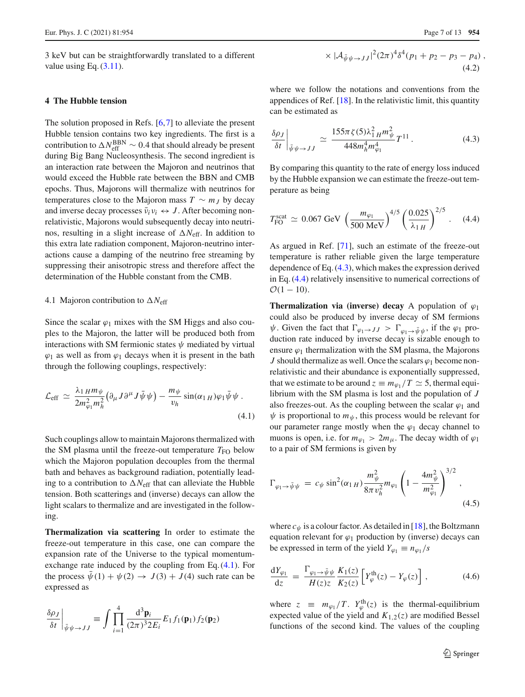3 keV but can be straightforwardly translated to a different value using Eq.  $(3.11)$ .

### <span id="page-6-0"></span>**4 The Hubble tension**

The solution proposed in Refs. [\[6](#page-10-5)[,7](#page-10-6)] to alleviate the present Hubble tension contains two key ingredients. The first is a contribution to  $\Delta N_{\rm eff}^{\rm BBN} \sim 0.4$  that should already be present during Big Bang Nucleosynthesis. The second ingredient is an interaction rate between the Majoron and neutrinos that would exceed the Hubble rate between the BBN and CMB epochs. Thus, Majorons will thermalize with neutrinos for temperatures close to the Majoron mass  $T \sim m_J$  by decay and inverse decay processes  $\bar{\nu}_i \nu_i \leftrightarrow J$ . After becoming nonrelativistic, Majorons would subsequently decay into neutrinos, resulting in a slight increase of  $\Delta N_{\text{eff}}$ . In addition to this extra late radiation component, Majoron-neutrino interactions cause a damping of the neutrino free streaming by suppressing their anisotropic stress and therefore affect the determination of the Hubble constant from the CMB.

# <span id="page-6-4"></span>4.1 Majoron contribution to  $\Delta N_{\text{eff}}$

Since the scalar  $\varphi_1$  mixes with the SM Higgs and also couples to the Majoron, the latter will be produced both from interactions with SM fermionic states  $\psi$  mediated by virtual  $\varphi_1$  as well as from  $\varphi_1$  decays when it is present in the bath through the following couplings, respectively:

$$
\mathcal{L}_{\text{eff}} \simeq \frac{\lambda_1 \mu m_\psi}{2m_{\varphi_1}^2 m_h^2} \big( \partial_\mu J \partial^\mu J \bar{\psi} \psi \big) - \frac{m_\psi}{v_h} \sin(\alpha_1 \mu) \varphi_1 \bar{\psi} \psi \,. \tag{4.1}
$$

Such couplings allow to maintain Majorons thermalized with the SM plasma until the freeze-out temperature  $T_{\text{FO}}$  below which the Majoron population decouples from the thermal bath and behaves as background radiation, potentially leading to a contribution to  $\Delta N_{\text{eff}}$  that can alleviate the Hubble tension. Both scatterings and (inverse) decays can allow the light scalars to thermalize and are investigated in the following.

**Thermalization via scattering** In order to estimate the freeze-out temperature in this case, one can compare the expansion rate of the Universe to the typical momentumexchange rate induced by the coupling from Eq. [\(4.1\)](#page-6-1). For the process  $\bar{\psi}(1) + \psi(2) \rightarrow J(3) + J(4)$  such rate can be expressed as

$$
\frac{\delta \rho_J}{\delta t}\bigg|_{\bar{\psi}\psi \to JJ} \equiv \int \prod_{i=1}^4 \frac{\mathrm{d}^3 \mathbf{p}_i}{(2\pi)^3 2E_i} E_1 f_1(\mathbf{p}_1) f_2(\mathbf{p}_2)
$$

<span id="page-6-2"></span>
$$
\times |A_{\bar{\psi}\psi \to JJ}|^2 (2\pi)^4 \delta^4 (p_1 + p_2 - p_3 - p_4) ,
$$
\n(4.2)

where we follow the notations and conventions from the appendices of Ref. [\[18](#page-10-19)]. In the relativistic limit, this quantity can be estimated as

$$
\frac{\delta \rho_J}{\delta t}\bigg|_{\bar{\psi}\psi \to JJ} \simeq \frac{155\pi \zeta(5)\lambda_{1H}^2 m_{\psi}^2}{448 m_h^4 m_{\varphi_1}^4} T^{11} \,. \tag{4.3}
$$

By comparing this quantity to the rate of energy loss induced by the Hubble expansion we can estimate the freeze-out temperature as being

<span id="page-6-3"></span>
$$
T_{\text{FO}}^{\text{scat}} \simeq 0.067 \text{ GeV} \, \left(\frac{m_{\varphi_1}}{500 \text{ MeV}}\right)^{4/5} \left(\frac{0.025}{\lambda_{1\,H}}\right)^{2/5} \,. \tag{4.4}
$$

As argued in Ref. [\[71\]](#page-11-23), such an estimate of the freeze-out temperature is rather reliable given the large temperature dependence of Eq. [\(4.3\)](#page-6-2), which makes the expression derived in Eq. [\(4.4\)](#page-6-3) relatively insensitive to numerical corrections of  $\mathcal{O}(1 - 10)$ .

<span id="page-6-1"></span>**Thermalization via (inverse) decay** A population of  $\varphi_1$ could also be produced by inverse decay of SM fermions  $\psi$ . Given the fact that  $\Gamma_{\varphi_1 \to JJ} > \Gamma_{\varphi_1 \to \bar{\psi}\psi}$ , if the  $\varphi_1$  production rate induced by inverse decay is sizable enough to ensure  $\varphi_1$  thermalization with the SM plasma, the Majorons *J* should thermalize as well. Once the scalars  $\varphi_1$  become nonrelativistic and their abundance is exponentially suppressed, that we estimate to be around  $z \equiv m_{\varphi_1}/T \simeq 5$ , thermal equilibrium with the SM plasma is lost and the population of *J* also freezes-out. As the coupling between the scalar  $\varphi_1$  and  $\psi$  is proportional to  $m_{\psi}$ , this process would be relevant for our parameter range mostly when the  $\varphi_1$  decay channel to muons is open, i.e. for  $m_{\varphi_1} > 2m_\mu$ . The decay width of  $\varphi_1$ to a pair of SM fermions is given by

$$
\Gamma_{\varphi_1 \to \bar{\psi}\psi} = c_{\psi} \sin^2(\alpha_{1\,H}) \frac{m_{\psi}^2}{8\pi v_h^2} m_{\varphi_1} \left( 1 - \frac{4m_{\psi}^2}{m_{\varphi_1}^2} \right)^{3/2},
$$
\n(4.5)

where  $c_{\psi}$  is a colour factor. As detailed in [\[18\]](#page-10-19), the Boltzmann equation relevant for  $\varphi_1$  production by (inverse) decays can be expressed in term of the yield  $Y_{\varphi_1} \equiv n_{\varphi_1}/s$ 

$$
\frac{\mathrm{d}Y_{\varphi_1}}{\mathrm{d}z} = \frac{\Gamma_{\varphi_1 \to \bar{\psi}\psi}}{H(z)z} \frac{K_1(z)}{K_2(z)} \left[ Y_{\varphi}^{\mathrm{th}}(z) - Y_{\varphi}(z) \right],\tag{4.6}
$$

where  $z \equiv m_{\varphi_1}/T$ .  $Y_{\varphi}^{\text{th}}(z)$  is the thermal-equilibrium expected value of the yield and  $K_{1,2}(z)$  are modified Bessel functions of the second kind. The values of the coupling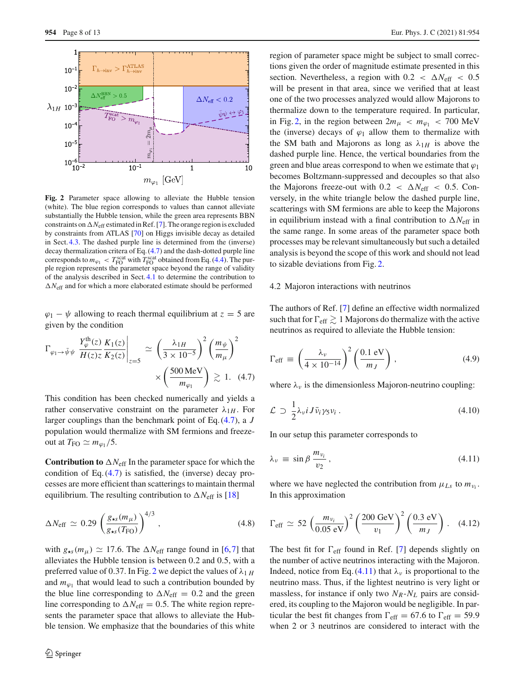

<span id="page-7-1"></span>**Fig. 2** Parameter space allowing to alleviate the Hubble tension (white). The blue region corresponds to values than cannot alleviate substantially the Hubble tension, while the green area represents BBN constraints on  $\Delta N_{\text{eff}}$  estimated in Ref. [\[7](#page-10-6)]. The orange region is excluded by constraints from ATLAS [\[70](#page-11-24)] on Higgs invisible decay as detailed in Sect. [4.3.](#page-8-2) The dashed purple line is determined from the (inverse) decay thermalization critera of Eq. [\(4.7\)](#page-7-0) and the dash-dotted purple line corresponds to  $m_{\varphi_1} < T_{\text{FO}}^{\text{scat}}$  with  $T_{\text{FO}}^{\text{scat}}$  obtained from Eq. [\(4.4\)](#page-6-3). The purple region represents the parameter space beyond the range of validity of the analysis described in Sect. [4.1](#page-6-4) to determine the contribution to  $\Delta N_{\text{eff}}$  and for which a more elaborated estimate should be performed

 $\varphi_1 - \psi$  allowing to reach thermal equilibrium at  $z = 5$  are given by the condition

<span id="page-7-0"></span>
$$
\Gamma_{\varphi_1 \to \bar{\psi}\psi} \frac{Y_{\varphi}^{\text{th}}(z)}{H(z)z} \frac{K_1(z)}{K_2(z)} \Big|_{z=5} \simeq \left(\frac{\lambda_{1H}}{3 \times 10^{-5}}\right)^2 \left(\frac{m_{\psi}}{m_{\mu}}\right)^2
$$

$$
\times \left(\frac{500 \text{ MeV}}{m_{\varphi_1}}\right) \gtrsim 1. \quad (4.7)
$$

This condition has been checked numerically and yields a rather conservative constraint on the parameter  $\lambda_{1H}$ . For larger couplings than the benchmark point of Eq. [\(4.7\)](#page-7-0), a *J* population would thermalize with SM fermions and freezeout at  $T_{\text{FO}} \simeq m_{\varphi_1}/5$ .

**Contribution to**  $\Delta N_{\text{eff}}$  In the parameter space for which the condition of Eq.  $(4.7)$  is satisfied, the (inverse) decay processes are more efficient than scatterings to maintain thermal equilibrium. The resulting contribution to  $\Delta N_{\text{eff}}$  is [\[18](#page-10-19)]

$$
\Delta N_{\rm eff} \simeq 0.29 \left( \frac{g_{\star s}(m_{\mu})}{g_{\star s}(T_{\rm FO})} \right)^{4/3}, \qquad (4.8)
$$

with  $g_{\star s}(m_{\mu}) \simeq 17.6$ . The  $\Delta N_{\text{eff}}$  range found in [\[6,](#page-10-5)[7\]](#page-10-6) that alleviates the Hubble tension is between 0.2 and 0.5, with a preferred value of 0.37. In Fig. [2](#page-7-1) we depict the values of  $\lambda_{1}$  *H* and  $m_{\varphi_1}$  that would lead to such a contribution bounded by the blue line corresponding to  $\Delta N_{\text{eff}} = 0.2$  and the green line corresponding to  $\Delta N_{\text{eff}} = 0.5$ . The white region represents the parameter space that allows to alleviate the Hubble tension. We emphasize that the boundaries of this white region of parameter space might be subject to small corrections given the order of magnitude estimate presented in this section. Nevertheless, a region with  $0.2 < \Delta N_{\text{eff}} < 0.5$ will be present in that area, since we verified that at least one of the two processes analyzed would allow Majorons to thermalize down to the temperature required. In particular, in Fig. [2,](#page-7-1) in the region between  $2m_{\mu} < m_{\varphi_1} < 700$  MeV the (inverse) decays of  $\varphi_1$  allow them to thermalize with the SM bath and Majorons as long as  $\lambda_{1H}$  is above the dashed purple line. Hence, the vertical boundaries from the green and blue areas correspond to when we estimate that  $\varphi_1$ becomes Boltzmann-suppressed and decouples so that also the Majorons freeze-out with  $0.2 < \Delta N_{\text{eff}} < 0.5$ . Conversely, in the white triangle below the dashed purple line, scatterings with SM fermions are able to keep the Majorons in equilibrium instead with a final contribution to  $\Delta N_{\text{eff}}$  in the same range. In some areas of the parameter space both processes may be relevant simultaneously but such a detailed analysis is beyond the scope of this work and should not lead to sizable deviations from Fig. [2.](#page-7-1)

### 4.2 Majoron interactions with neutrinos

The authors of Ref. [\[7\]](#page-10-6) define an effective width normalized such that for  $\Gamma_{\rm eff} \gtrsim 1$  Majorons do thermalize with the active neutrinos as required to alleviate the Hubble tension:

$$
\Gamma_{\rm eff} \equiv \left(\frac{\lambda_{\nu}}{4 \times 10^{-14}}\right)^2 \left(\frac{0.1 \text{ eV}}{m_J}\right),\tag{4.9}
$$

where  $\lambda_{\nu}$  is the dimensionless Majoron-neutrino coupling:

$$
\mathcal{L} \supset \frac{1}{2} \lambda_{\nu} i J \bar{\nu}_i \gamma_5 \nu_i \,. \tag{4.10}
$$

<span id="page-7-2"></span>In our setup this parameter corresponds to

$$
\lambda_{\nu} \equiv \sin \beta \, \frac{m_{\nu_i}}{\nu_2} \,, \tag{4.11}
$$

<span id="page-7-3"></span>where we have neglected the contribution from  $\mu_{Ls}$  to  $m_{\nu_i}$ . In this approximation

$$
\Gamma_{\text{eff}} \simeq 52 \left( \frac{m_{\nu_i}}{0.05 \text{ eV}} \right)^2 \left( \frac{200 \text{ GeV}}{v_1} \right)^2 \left( \frac{0.3 \text{ eV}}{m_J} \right). \quad (4.12)
$$

The best fit for  $\Gamma_{\text{eff}}$  found in Ref. [\[7\]](#page-10-6) depends slightly on the number of active neutrinos interacting with the Majoron. Indeed, notice from Eq. [\(4.11\)](#page-7-2) that  $\lambda_{\nu}$  is proportional to the neutrino mass. Thus, if the lightest neutrino is very light or massless, for instance if only two  $N_R$ - $N_L$  pairs are considered, its coupling to the Majoron would be negligible. In particular the best fit changes from  $\Gamma_{\text{eff}} = 67.6$  to  $\Gamma_{\text{eff}} = 59.9$ when 2 or 3 neutrinos are considered to interact with the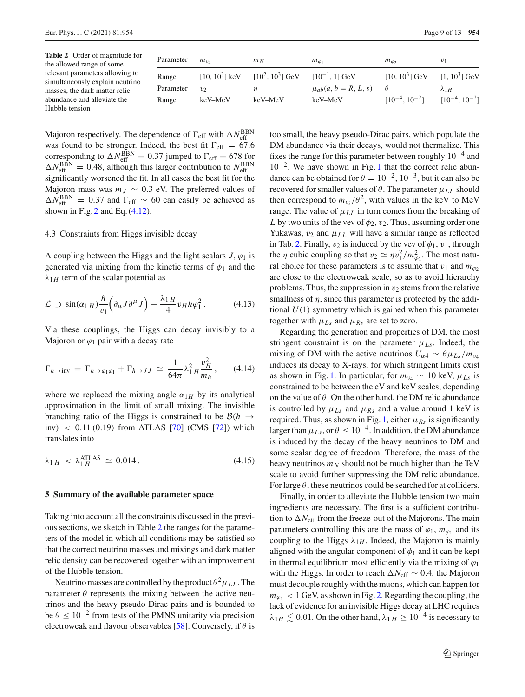<span id="page-8-1"></span>**Table 2** Order of magnitude for the allowed range of some relevant parameters allowing to simultaneously explain neutrino masses, the dark matter relic abundance and alleviate the Hubble tension

| Parameter | $m_{\nu_A}$ | $m_N$                                                                        | $m_{\varphi_1}$            | $m_{\varphi_2}$                  | $v_1$                |
|-----------|-------------|------------------------------------------------------------------------------|----------------------------|----------------------------------|----------------------|
| Range     |             | [10, $10^3$ ] keV [10 <sup>2</sup> , $10^3$ ] GeV [10 <sup>-1</sup> , 1] GeV |                            | $[10, 10^3]$ GeV $[1, 10^3]$ GeV |                      |
| Parameter | $v_{2}$     | п                                                                            | $\mu_{ab}(a, b = R, L, s)$ | $\theta$                         | $\lambda$ 1H         |
| Range     | keV–MeV     | keV–MeV                                                                      | keV–MeV                    | $[10^{-4}, 10^{-2}]$             | $[10^{-4}, 10^{-2}]$ |

Majoron respectively. The dependence of  $\Gamma_{\text{eff}}$  with  $\Delta N_{\text{eff}}^{\text{BBN}}$ was found to be stronger. Indeed, the best fit  $\Gamma_{\text{eff}} = 67.6$ corresponding to  $\Delta N_{\text{eff}}^{\text{BBN}} = 0.37$  jumped to  $\Gamma_{\text{eff}} = 678$  for  $\Delta N_{\text{eff}}^{\text{BBN}} = 0.48$ , although this larger contribution to  $N_{\text{eff}}^{\text{BBN}}$ significantly worsened the fit. In all cases the best fit for the Majoron mass was  $m<sub>J</sub> \sim 0.3$  eV. The preferred values of  $\Delta N_{\text{eff}}^{\text{BBN}} = 0.37$  and  $\Gamma_{\text{eff}} \sim 60$  can easily be achieved as shown in Fig.  $2$  and Eq.  $(4.12)$ .

### <span id="page-8-2"></span>4.3 Constraints from Higgs invisible decay

A coupling between the Higgs and the light scalars  $J$ ,  $\varphi_1$  is generated via mixing from the kinetic terms of  $\phi_1$  and the  $\lambda_{1H}$  term of the scalar potential as

$$
\mathcal{L} \supset \sin(\alpha_{1\,H}) \frac{h}{v_1} \Big( \partial_{\mu} J \partial^{\mu} J \Big) - \frac{\lambda_{1\,H}}{4} v_H h \varphi_1^2 \,. \tag{4.13}
$$

Via these couplings, the Higgs can decay invisibly to a Majoron or  $\varphi_1$  pair with a decay rate

$$
\Gamma_{h \to \text{inv}} = \Gamma_{h \to \varphi_1 \varphi_1} + \Gamma_{h \to JJ} \simeq \frac{1}{64\pi} \lambda_1^2 H \frac{v_H^2}{m_h}, \qquad (4.14)
$$

where we replaced the mixing angle  $\alpha_{1H}$  by its analytical approximation in the limit of small mixing. The invisible branching ratio of the Higgs is constrained to be  $B(h \rightarrow$ inv)  $\langle 0.11(0.19) \text{ from ATLAS} [70] (CMS [72]) \text{ which}$  $\langle 0.11(0.19) \text{ from ATLAS} [70] (CMS [72]) \text{ which}$  $\langle 0.11(0.19) \text{ from ATLAS} [70] (CMS [72]) \text{ which}$  $\langle 0.11(0.19) \text{ from ATLAS} [70] (CMS [72]) \text{ which}$  $\langle 0.11(0.19) \text{ from ATLAS} [70] (CMS [72]) \text{ which}$ translates into

$$
\lambda_{1H} < \lambda_{1H}^{\text{ATLAS}} \simeq 0.014. \tag{4.15}
$$

### <span id="page-8-0"></span>**5 Summary of the available parameter space**

Taking into account all the constraints discussed in the previous sections, we sketch in Table [2](#page-8-1) the ranges for the parameters of the model in which all conditions may be satisfied so that the correct neutrino masses and mixings and dark matter relic density can be recovered together with an improvement of the Hubble tension.

Neutrino masses are controlled by the product  $\theta^2 \mu_{LL}$ . The parameter  $\theta$  represents the mixing between the active neutrinos and the heavy pseudo-Dirac pairs and is bounded to be  $\theta \leq 10^{-2}$  from tests of the PMNS unitarity via precision electroweak and flavour observables [\[58\]](#page-11-15). Conversely, if  $\theta$  is

too small, the heavy pseudo-Dirac pairs, which populate the DM abundance via their decays, would not thermalize. This fixes the range for this parameter between roughly  $10^{-4}$  and  $10^{-2}$  $10^{-2}$ . We have shown in Fig. 1 that the correct relic abundance can be obtained for  $\theta = 10^{-2}$ ,  $10^{-3}$ , but it can also be recovered for smaller values of  $\theta$ . The parameter  $\mu_{LL}$  should then correspond to  $m_{\nu_i}/\theta^2$ , with values in the keV to MeV range. The value of  $\mu_{LL}$  in turn comes from the breaking of *L* by two units of the vev of  $\phi_2$ ,  $v_2$ . Thus, assuming order one Yukawas,  $v_2$  and  $\mu_{LL}$  will have a similar range as reflected in Tab. [2.](#page-8-1) Finally,  $v_2$  is induced by the vev of  $\phi_1$ ,  $v_1$ , through the  $\eta$  cubic coupling so that  $v_2 \simeq \eta v_1^2 / m_{\varphi_2}^2$ . The most natural choice for these parameters is to assume that  $v_1$  and  $m_\varphi$ are close to the electroweak scale, so as to avoid hierarchy problems. Thus, the suppression in  $v_2$  stems from the relative smallness of  $\eta$ , since this parameter is protected by the additional *U*(1) symmetry which is gained when this parameter together with  $\mu_{Ls}$  and  $\mu_{Rs}$  are set to zero.

Regarding the generation and properties of DM, the most stringent constraint is on the parameter  $\mu_{Ls}$ . Indeed, the mixing of DM with the active neutrinos  $U_{\alpha 4} \sim \theta \mu_{Ls}/m_{\nu_4}$ induces its decay to X-rays, for which stringent limits exist as shown in Fig. [1.](#page-5-0) In particular, for  $m_{\nu_4} \sim 10$  keV,  $\mu_{Ls}$  is constrained to be between the eV and keV scales, depending on the value of  $\theta$ . On the other hand, the DM relic abundance is controlled by  $\mu_{Ls}$  and  $\mu_{Rs}$  and a value around 1 keV is required. Thus, as shown in Fig. [1,](#page-5-0) either  $\mu_{Rs}$  is significantly larger than  $\mu_{Ls}$ , or  $\theta \leq 10^{-4}$ . In addition, the DM abundance is induced by the decay of the heavy neutrinos to DM and some scalar degree of freedom. Therefore, the mass of the heavy neutrinos  $m_N$  should not be much higher than the TeV scale to avoid further suppressing the DM relic abundance. For large  $\theta$ , these neutrinos could be searched for at colliders.

Finally, in order to alleviate the Hubble tension two main ingredients are necessary. The first is a sufficient contribution to  $\Delta N_{\text{eff}}$  from the freeze-out of the Majorons. The main parameters controlling this are the mass of  $\varphi_1$ ,  $m_{\varphi_1}$  and its coupling to the Higgs  $\lambda_{1H}$ . Indeed, the Majoron is mainly aligned with the angular component of  $\phi_1$  and it can be kept in thermal equilibrium most efficiently via the mixing of  $\varphi_1$ with the Higgs. In order to reach  $\Delta N_{\text{eff}} \sim 0.4$ , the Majoron must decouple roughly with the muons, which can happen for  $m_{\varphi_1}$  < 1 GeV, as shown in Fig. [2.](#page-7-1) Regarding the coupling, the lack of evidence for an invisible Higgs decay at LHC requires  $\lambda_{1H} \lesssim 0.01$ . On the other hand,  $\lambda_{1H} \geq 10^{-4}$  is necessary to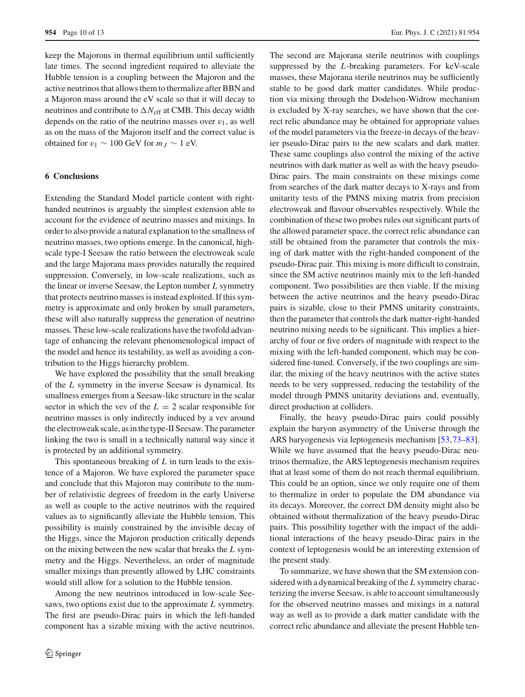keep the Majorons in thermal equilibrium until sufficiently late times. The second ingredient required to alleviate the Hubble tension is a coupling between the Majoron and the active neutrinos that allows them to thermalize after BBN and a Majoron mass around the eV scale so that it will decay to neutrinos and contribute to  $\Delta N_{\text{eff}}$  at CMB. This decay width depends on the ratio of the neutrino masses over  $v_1$ , as well as on the mass of the Majoron itself and the correct value is obtained for  $v_1 \sim 100$  GeV for  $m<sub>J</sub> \sim 1$  eV.

### <span id="page-9-0"></span>**6 Conclusions**

Extending the Standard Model particle content with righthanded neutrinos is arguably the simplest extension able to account for the evidence of neutrino masses and mixings. In order to also provide a natural explanation to the smallness of neutrino masses, two options emerge. In the canonical, highscale type-I Seesaw the ratio between the electroweak scale and the large Majorana mass provides naturally the required suppression. Conversely, in low-scale realizations, such as the linear or inverse Seesaw, the Lepton number *L* symmetry that protects neutrino masses is instead exploited. If this symmetry is approximate and only broken by small parameters, these will also naturally suppress the generation of neutrino masses. These low-scale realizations have the twofold advantage of enhancing the relevant phenomenological impact of the model and hence its testability, as well as avoiding a contribution to the Higgs hierarchy problem.

We have explored the possibility that the small breaking of the *L* symmetry in the inverse Seesaw is dynamical. Its smallness emerges from a Seesaw-like structure in the scalar sector in which the vev of the  $L = 2$  scalar responsible for neutrino masses is only indirectly induced by a vev around the electroweak scale, as in the type-II Seesaw. The parameter linking the two is small in a technically natural way since it is protected by an additional symmetry.

This spontaneous breaking of *L* in turn leads to the existence of a Majoron. We have explored the parameter space and conclude that this Majoron may contribute to the number of relativistic degrees of freedom in the early Universe as well as couple to the active neutrinos with the required values as to significantly alleviate the Hubble tension. This possibility is mainly constrained by the invisible decay of the Higgs, since the Majoron production critically depends on the mixing between the new scalar that breaks the *L* symmetry and the Higgs. Nevertheless, an order of magnitude smaller mixings than presently allowed by LHC constraints would still allow for a solution to the Hubble tension.

Among the new neutrinos introduced in low-scale Seesaws, two options exist due to the approximate *L* symmetry. The first are pseudo-Dirac pairs in which the left-handed component has a sizable mixing with the active neutrinos.

The second are Majorana sterile neutrinos with couplings suppressed by the *L*-breaking parameters. For keV-scale masses, these Majorana sterile neutrinos may be sufficiently stable to be good dark matter candidates. While production via mixing through the Dodelson-Widrow mechanism is excluded by X-ray searches, we have shown that the correct relic abundance may be obtained for appropriate values of the model parameters via the freeze-in decays of the heavier pseudo-Dirac pairs to the new scalars and dark matter. These same couplings also control the mixing of the active neutrinos with dark matter as well as with the heavy pseudo-Dirac pairs. The main constraints on these mixings come from searches of the dark matter decays to X-rays and from unitarity tests of the PMNS mixing matrix from precision electroweak and flavour observables respectively. While the combination of these two probes rules out significant parts of the allowed parameter space, the correct relic abundance can still be obtained from the parameter that controls the mixing of dark matter with the right-handed component of the pseudo-Dirac pair. This mixing is more difficult to constrain, since the SM active neutrinos mainly mix to the left-handed component. Two possibilities are then viable. If the mixing between the active neutrinos and the heavy pseudo-Dirac pairs is sizable, close to their PMNS unitarity constraints, then the parameter that controls the dark matter-right-handed neutrino mixing needs to be significant. This implies a hierarchy of four or five orders of magnitude with respect to the mixing with the left-handed component, which may be considered fine-tuned. Conversely, if the two couplings are similar, the mixing of the heavy neutrinos with the active states needs to be very suppressed, reducing the testability of the model through PMNS unitarity deviations and, eventually, direct production at colliders.

Finally, the heavy pseudo-Dirac pairs could possibly explain the baryon asymmetry of the Universe through the ARS baryogenesis via leptogenesis mechanism [\[53](#page-11-13),[73](#page-11-26)[–83](#page-12-0)]. While we have assumed that the heavy pseudo-Dirac neutrinos thermalize, the ARS leptogenesis mechanism requires that at least some of them do not reach thermal equilibrium. This could be an option, since we only require one of them to thermalize in order to populate the DM abundance via its decays. Moreover, the correct DM density might also be obtained without thermalization of the heavy pseudo-Dirac pairs. This possibility together with the impact of the additional interactions of the heavy pseudo-Dirac pairs in the context of leptogenesis would be an interesting extension of the present study.

To summarize, we have shown that the SM extension considered with a dynamical breaking of the *L* symmetry characterizing the inverse Seesaw, is able to account simultaneously for the observed neutrino masses and mixings in a natural way as well as to provide a dark matter candidate with the correct relic abundance and alleviate the present Hubble ten-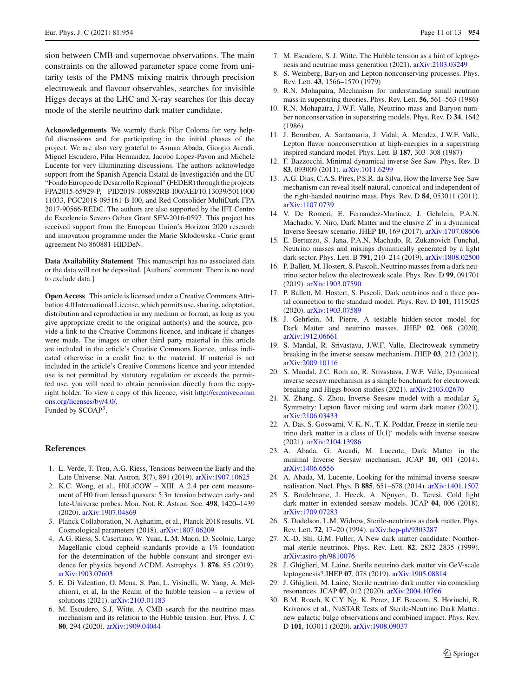sion between CMB and supernovae observations. The main constraints on the allowed parameter space come from unitarity tests of the PMNS mixing matrix through precision electroweak and flavour observables, searches for invisible Higgs decays at the LHC and X-ray searches for this decay mode of the sterile neutrino dark matter candidate.

**Acknowledgements** We warmly thank Pilar Coloma for very helpful discussions and for participating in the initial phases of the project. We are also very grateful to Asmaa Abada, Giorgio Arcadi, Miguel Escudero, Pilar Hernandez, Jacobo Lopez-Pavon and Michele Lucente for very illuminating discussions. The authors acknowledge support from the Spanish Agencia Estatal de Investigación and the EU "Fondo Europeo de Desarrollo Regional" (FEDER) through the projects FPA2015-65929-P, PID2019-108892RB-I00/AEI/10.13039/5011000 11033, PGC2018-095161-B-I00, and Red Consolider MultiDark FPA 2017-90566-REDC. The authors are also supported by the IFT Centro de Excelencia Severo Ochoa Grant SEV-2016-0597. This project has received support from the European Union's Horizon 2020 research and innovation programme under the Marie Skłodowska -Curie grant agreement No 860881-HIDDeN.

**Data Availability Statement** This manuscript has no associated data or the data will not be deposited. [Authors' comment: There is no need to exclude data.]

**Open Access** This article is licensed under a Creative Commons Attribution 4.0 International License, which permits use, sharing, adaptation, distribution and reproduction in any medium or format, as long as you give appropriate credit to the original author(s) and the source, provide a link to the Creative Commons licence, and indicate if changes were made. The images or other third party material in this article are included in the article's Creative Commons licence, unless indicated otherwise in a credit line to the material. If material is not included in the article's Creative Commons licence and your intended use is not permitted by statutory regulation or exceeds the permitted use, you will need to obtain permission directly from the copyright holder. To view a copy of this licence, visit [http://creativecomm](http://creativecommons.org/licenses/by/4.0/) [ons.org/licenses/by/4.0/.](http://creativecommons.org/licenses/by/4.0/)

Funded by SCOAP<sup>3</sup>.

### **References**

- <span id="page-10-0"></span>1. L. Verde, T. Treu, A.G. Riess, Tensions between the Early and the Late Universe. Nat. Astron. **3**(7), 891 (2019). [arXiv:1907.10625](http://arxiv.org/abs/1907.10625)
- <span id="page-10-1"></span>2. K.C. Wong, et al., H0LiCOW – XIII. A 2.4 per cent measurement of H0 from lensed quasars:  $5.3\sigma$  tension between early- and late-Universe probes. Mon. Not. R. Astron. Soc. **498**, 1420–1439 (2020). [arXiv:1907.04869](http://arxiv.org/abs/1907.04869)
- <span id="page-10-2"></span>3. Planck Collaboration, N. Aghanim, et al., Planck 2018 results. VI. Cosmological parameters (2018). [arXiv:1807.06209](http://arxiv.org/abs/1807.06209)
- <span id="page-10-3"></span>4. A.G. Riess, S. Casertano, W. Yuan, L.M. Macri, D. Scolnic, Large Magellanic cloud cepheid standards provide a 1% foundation for the determination of the hubble constant and stronger evidence for physics beyond CDM. Astrophys. J. **876**, 85 (2019). [arXiv:1903.07603](http://arxiv.org/abs/1903.07603)
- <span id="page-10-4"></span>5. E. Di Valentino, O. Mena, S. Pan, L. Visinelli, W. Yang, A. Melchiorri, et al, In the Realm of the hubble tension – a review of solutions (2021). [arXiv:2103.01183](http://arxiv.org/abs/2103.01183)
- <span id="page-10-5"></span>6. M. Escudero, S.J. Witte, A CMB search for the neutrino mass mechanism and its relation to the Hubble tension. Eur. Phys. J. C **80**, 294 (2020). [arXiv:1909.04044](http://arxiv.org/abs/1909.04044)
- <span id="page-10-6"></span>7. M. Escudero, S. J. Witte, The Hubble tension as a hint of leptogenesis and neutrino mass generation (2021). [arXiv:2103.03249](http://arxiv.org/abs/2103.03249)
- <span id="page-10-7"></span>8. S. Weinberg, Baryon and Lepton nonconserving processes. Phys. Rev. Lett. **43**, 1566–1570 (1979)
- <span id="page-10-8"></span>9. R.N. Mohapatra, Mechanism for understanding small neutrino mass in superstring theories. Phys. Rev. Lett. **56**, 561–563 (1986)
- 10. R.N. Mohapatra, J.W.F. Valle, Neutrino mass and Baryon number nonconservation in superstring models. Phys. Rev. D **34**, 1642 (1986)
- <span id="page-10-9"></span>11. J. Bernabeu, A. Santamaria, J. Vidal, A. Mendez, J.W.F. Valle, Lepton flavor nonconservation at high-energies in a superstring inspired standard model. Phys. Lett. B **187**, 303–308 (1987)
- <span id="page-10-10"></span>12. F. Bazzocchi, Minimal dynamical inverse See Saw. Phys. Rev. D **83**, 093009 (2011). [arXiv:1011.6299](http://arxiv.org/abs/1011.6299)
- 13. A.G. Dias, C.A.S. Pires, P.S.R. da Silva, How the Inverse See-Saw mechanism can reveal itself natural, canonical and independent of the right-handed neutrino mass. Phys. Rev. D **84**, 053011 (2011). [arXiv:1107.0739](http://arxiv.org/abs/1107.0739)
- <span id="page-10-12"></span>14. V. De Romeri, E. Fernandez-Martinez, J. Gehrlein, P.A.N. Machado, V. Niro, Dark Matter and the elusive *Z'* in a dynamical Inverse Seesaw scenario. JHEP **10**, 169 (2017). [arXiv:1707.08606](http://arxiv.org/abs/1707.08606)
- 15. E. Bertuzzo, S. Jana, P.A.N. Machado, R. Zukanovich Funchal, Neutrino masses and mixings dynamically generated by a light dark sector. Phys. Lett. B **791**, 210–214 (2019). [arXiv:1808.02500](http://arxiv.org/abs/1808.02500)
- 16. P. Ballett, M. Hostert, S. Pascoli, Neutrino masses from a dark neutrino sector below the electroweak scale. Phys. Rev. D **99**, 091701 (2019). [arXiv:1903.07590](http://arxiv.org/abs/1903.07590)
- 17. P. Ballett, M. Hostert, S. Pascoli, Dark neutrinos and a three portal connection to the standard model. Phys. Rev. D **101**, 1115025 (2020). [arXiv:1903.07589](http://arxiv.org/abs/1903.07589)
- <span id="page-10-19"></span>18. J. Gehrlein, M. Pierre, A testable hidden-sector model for Dark Matter and neutrino masses. JHEP **02**, 068 (2020). [arXiv:1912.06661](http://arxiv.org/abs/1912.06661)
- 19. S. Mandal, R. Srivastava, J.W.F. Valle, Electroweak symmetry breaking in the inverse seesaw mechanism. JHEP **03**, 212 (2021). [arXiv:2009.10116](http://arxiv.org/abs/2009.10116)
- 20. S. Mandal, J.C. Rom ao, R. Srivastava, J.W.F. Valle, Dynamical inverse seesaw mechanism as a simple benchmark for electroweak breaking and Higgs boson studies (2021). [arXiv:2103.02670](http://arxiv.org/abs/2103.02670)
- 21. X. Zhang, S. Zhou, Inverse Seesaw model with a modular *S*<sup>4</sup> Symmetry: Lepton flavor mixing and warm dark matter (2021). [arXiv:2106.03433](http://arxiv.org/abs/2106.03433)
- <span id="page-10-11"></span>22. A. Das, S. Goswami, V. K. N., T. K. Poddar, Freeze-in sterile neutrino dark matter in a class of  $U(1)'$  models with inverse seesaw (2021). [arXiv:2104.13986](http://arxiv.org/abs/2104.13986)
- <span id="page-10-13"></span>23. A. Abada, G. Arcadi, M. Lucente, Dark Matter in the minimal Inverse Seesaw mechanism. JCAP **10**, 001 (2014). [arXiv:1406.6556](http://arxiv.org/abs/1406.6556)
- 24. A. Abada, M. Lucente, Looking for the minimal inverse seesaw realisation. Nucl. Phys. B **885**, 651–678 (2014). [arXiv:1401.1507](http://arxiv.org/abs/1401.1507)
- <span id="page-10-14"></span>25. S. Boulebnane, J. Heeck, A. Nguyen, D. Teresi, Cold light dark matter in extended seesaw models. JCAP **04**, 006 (2018). [arXiv:1709.07283](http://arxiv.org/abs/1709.07283)
- <span id="page-10-15"></span>26. S. Dodelson, L.M. Widrow, Sterile-neutrinos as dark matter. Phys. Rev. Lett. **72**, 17–20 (1994). [arXiv:hep-ph/9303287](http://arxiv.org/abs/hep-ph/9303287)
- <span id="page-10-17"></span>27. X.-D. Shi, G.M. Fuller, A New dark matter candidate: Nonthermal sterile neutrinos. Phys. Rev. Lett. **82**, 2832–2835 (1999). [arXiv:astro-ph/9810076](http://arxiv.org/abs/astro-ph/9810076)
- 28. J. Ghiglieri, M. Laine, Sterile neutrino dark matter via GeV-scale leptogenesis? JHEP **07**, 078 (2019). [arXiv:1905.08814](http://arxiv.org/abs/1905.08814)
- <span id="page-10-18"></span>29. J. Ghiglieri, M. Laine, Sterile neutrino dark matter via coinciding resonances. JCAP **07**, 012 (2020). [arXiv:2004.10766](http://arxiv.org/abs/2004.10766)
- <span id="page-10-16"></span>30. B.M. Roach, K.C.Y. Ng, K. Perez, J.F. Beacom, S. Horiuchi, R. Krivonos et al., NuSTAR Tests of Sterile-Neutrino Dark Matter: new galactic bulge observations and combined impact. Phys. Rev. D **101**, 103011 (2020). [arXiv:1908.09037](http://arxiv.org/abs/1908.09037)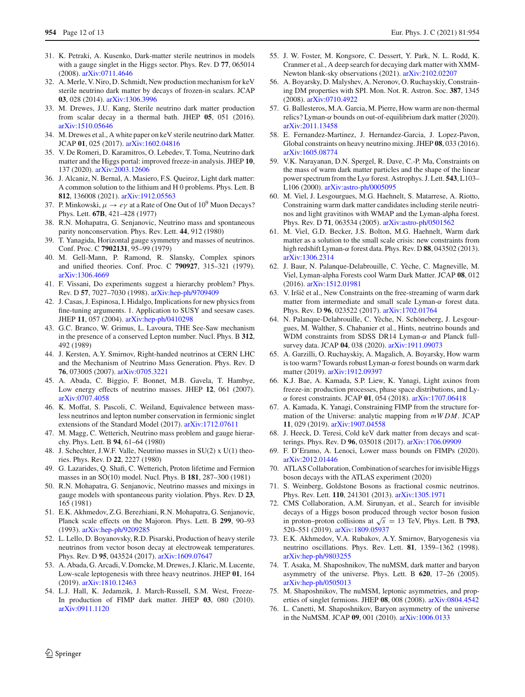- <span id="page-11-0"></span>31. K. Petraki, A. Kusenko, Dark-matter sterile neutrinos in models with a gauge singlet in the Higgs sector. Phys. Rev. D **77**, 065014 (2008). [arXiv:0711.4646](http://arxiv.org/abs/0711.4646)
- 32. A. Merle, V. Niro, D. Schmidt, New production mechanism for keV sterile neutrino dark matter by decays of frozen-in scalars. JCAP **03**, 028 (2014). [arXiv:1306.3996](http://arxiv.org/abs/1306.3996)
- 33. M. Drewes, J.U. Kang, Sterile neutrino dark matter production from scalar decay in a thermal bath. JHEP **05**, 051 (2016). [arXiv:1510.05646](http://arxiv.org/abs/1510.05646)
- 34. M. Drewes et al., A white paper on keV sterile neutrino dark Matter. JCAP **01**, 025 (2017). [arXiv:1602.04816](http://arxiv.org/abs/1602.04816)
- <span id="page-11-1"></span>35. V. De Romeri, D. Karamitros, O. Lebedev, T. Toma, Neutrino dark matter and the Higgs portal: improved freeze-in analysis. JHEP **10**, 137 (2020). [arXiv:2003.12606](http://arxiv.org/abs/2003.12606)
- <span id="page-11-8"></span>36. J. Alcaniz, N. Bernal, A. Masiero, F.S. Queiroz, Light dark matter: A common solution to the lithium and H 0 problems. Phys. Lett. B **812**, 136008 (2021). [arXiv:1912.05563](http://arxiv.org/abs/1912.05563)
- <span id="page-11-2"></span>37. P. Minkowski,  $\mu \to e\gamma$  at a Rate of One Out of 10<sup>9</sup> Muon Decays? Phys. Lett. **67B**, 421–428 (1977)
- 38. R.N. Mohapatra, G. Senjanovic, Neutrino mass and spontaneous parity nonconservation. Phys. Rev. Lett. **44**, 912 (1980)
- 39. T. Yanagida, Horizontal gauge symmetry and masses of neutrinos. Conf. Proc. C **7902131**, 95–99 (1979)
- <span id="page-11-3"></span>40. M. Gell-Mann, P. Ramond, R. Slansky, Complex spinors and unified theories. Conf. Proc. C **790927**, 315–321 (1979). [arXiv:1306.4669](http://arxiv.org/abs/1306.4669)
- <span id="page-11-4"></span>41. F. Vissani, Do experiments suggest a hierarchy problem? Phys. Rev. D **57**, 7027–7030 (1998). [arXiv:hep-ph/9709409](http://arxiv.org/abs/hep-ph/9709409)
- <span id="page-11-5"></span>42. J. Casas, J. Espinosa, I. Hidalgo, Implications for new physics from fine-tuning arguments. 1. Application to SUSY and seesaw cases. JHEP **11**, 057 (2004). [arXiv:hep-ph/0410298](http://arxiv.org/abs/hep-ph/0410298)
- <span id="page-11-6"></span>43. G.C. Branco, W. Grimus, L. Lavoura, THE See-Saw mechanism in the presence of a conserved Lepton number. Nucl. Phys. B **312**, 492 (1989)
- 44. J. Kersten, A.Y. Smirnov, Right-handed neutrinos at CERN LHC and the Mechanism of Neutrino Mass Generation. Phys. Rev. D **76**, 073005 (2007). [arXiv:0705.3221](http://arxiv.org/abs/0705.3221)
- 45. A. Abada, C. Biggio, F. Bonnet, M.B. Gavela, T. Hambye, Low energy effects of neutrino masses. JHEP **12**, 061 (2007). [arXiv:0707.4058](http://arxiv.org/abs/0707.4058)
- <span id="page-11-7"></span>46. K. Moffat, S. Pascoli, C. Weiland, Equivalence between massless neutrinos and lepton number conservation in fermionic singlet extensions of the Standard Model (2017). [arXiv:1712.07611](http://arxiv.org/abs/1712.07611)
- <span id="page-11-9"></span>47. M. Magg, C. Wetterich, Neutrino mass problem and gauge hierarchy. Phys. Lett. B **94**, 61–64 (1980)
- 48. J. Schechter, J.W.F. Valle, Neutrino masses in SU(2) x U(1) theories. Phys. Rev. D **22**, 2227 (1980)
- 49. G. Lazarides, Q. Shafi, C. Wetterich, Proton lifetime and Fermion masses in an SO(10) model. Nucl. Phys. B **181**, 287–300 (1981)
- <span id="page-11-10"></span>50. R.N. Mohapatra, G. Senjanovic, Neutrino masses and mixings in gauge models with spontaneous parity violation. Phys. Rev. D **23**, 165 (1981)
- <span id="page-11-11"></span>51. E.K. Akhmedov, Z.G. Berezhiani, R.N. Mohapatra, G. Senjanovic, Planck scale effects on the Majoron. Phys. Lett. B **299**, 90–93 (1993). [arXiv:hep-ph/9209285](http://arxiv.org/abs/hep-ph/9209285)
- <span id="page-11-12"></span>52. L. Lello, D. Boyanovsky, R.D. Pisarski, Production of heavy sterile neutrinos from vector boson decay at electroweak temperatures. Phys. Rev. D **95**, 043524 (2017). [arXiv:1609.07647](http://arxiv.org/abs/1609.07647)
- <span id="page-11-13"></span>53. A. Abada, G. Arcadi, V. Domcke, M. Drewes, J. Klaric, M. Lucente, Low-scale leptogenesis with three heavy neutrinos. JHEP **01**, 164 (2019). [arXiv:1810.12463](http://arxiv.org/abs/1810.12463)
- <span id="page-11-14"></span>54. L.J. Hall, K. Jedamzik, J. March-Russell, S.M. West, Freeze-In production of FIMP dark matter. JHEP **03**, 080 (2010). [arXiv:0911.1120](http://arxiv.org/abs/0911.1120)
- <span id="page-11-16"></span>55. J. W. Foster, M. Kongsore, C. Dessert, Y. Park, N. L. Rodd, K. Cranmer et al., A deep search for decaying dark matter with XMM-Newton blank-sky observations (2021). [arXiv:2102.02207](http://arxiv.org/abs/2102.02207)
- <span id="page-11-17"></span>56. A. Boyarsky, D. Malyshev, A. Neronov, O. Ruchayskiy, Constraining DM properties with SPI. Mon. Not. R. Astron. Soc. **387**, 1345 (2008). [arXiv:0710.4922](http://arxiv.org/abs/0710.4922)
- <span id="page-11-18"></span>57. G. Ballesteros, M.A. Garcia, M. Pierre, How warm are non-thermal relics? Lyman-α bounds on out-of-equilibrium dark matter (2020). [arXiv:2011.13458](http://arxiv.org/abs/2011.13458)
- <span id="page-11-15"></span>58. E. Fernandez-Martinez, J. Hernandez-Garcia, J. Lopez-Pavon, Global constraints on heavy neutrino mixing. JHEP **08**, 033 (2016). [arXiv:1605.08774](http://arxiv.org/abs/1605.08774)
- <span id="page-11-19"></span>59. V.K. Narayanan, D.N. Spergel, R. Dave, C.-P. Ma, Constraints on the mass of warm dark matter particles and the shape of the linear power spectrum from the Lyα forest. Astrophys. J. Lett. **543**, L103– L106 (2000). [arXiv:astro-ph/0005095](http://arxiv.org/abs/astro-ph/0005095)
- 60. M. Viel, J. Lesgourgues, M.G. Haehnelt, S. Matarrese, A. Riotto, Constraining warm dark matter candidates including sterile neutrinos and light gravitinos with WMAP and the Lyman-alpha forest. Phys. Rev. D **71**, 063534 (2005). [arXiv:astro-ph/0501562](http://arxiv.org/abs/astro-ph/0501562)
- 61. M. Viel, G.D. Becker, J.S. Bolton, M.G. Haehnelt, Warm dark matter as a solution to the small scale crisis: new constraints from high redshift Lyman-α forest data. Phys. Rev. D **88**, 043502 (2013). [arXiv:1306.2314](http://arxiv.org/abs/1306.2314)
- 62. J. Baur, N. Palanque-Delabrouille, C. Yèche, C. Magneville, M. Viel, Lyman-alpha Forests cool Warm Dark Matter. JCAP **08**, 012 (2016). [arXiv:1512.01981](http://arxiv.org/abs/1512.01981)
- 63. V. Iršič et al., New Constraints on the free-streaming of warm dark matter from intermediate and small scale Lyman-α forest data. Phys. Rev. D **96**, 023522 (2017). [arXiv:1702.01764](http://arxiv.org/abs/1702.01764)
- 64. N. Palanque-Delabrouille, C. Yèche, N. Schöneberg, J. Lesgourgues, M. Walther, S. Chabanier et al., Hints, neutrino bounds and WDM constraints from SDSS DR14 Lyman-α and Planck fullsurvey data. JCAP **04**, 038 (2020). [arXiv:1911.09073](http://arxiv.org/abs/1911.09073)
- <span id="page-11-20"></span>65. A. Garzilli, O. Ruchayskiy, A. Magalich, A. Boyarsky, How warm is too warm? Towards robust Lyman-α forest bounds on warm dark matter (2019). [arXiv:1912.09397](http://arxiv.org/abs/1912.09397)
- <span id="page-11-21"></span>66. K.J. Bae, A. Kamada, S.P. Liew, K. Yanagi, Light axinos from freeze-in: production processes, phase space distributions, and Lyα forest constraints. JCAP **01**, 054 (2018). [arXiv:1707.06418](http://arxiv.org/abs/1707.06418)
- 67. A. Kamada, K. Yanagi, Constraining FIMP from the structure formation of the Universe: analytic mapping from *mWDM*. JCAP **11**, 029 (2019). [arXiv:1907.04558](http://arxiv.org/abs/1907.04558)
- 68. J. Heeck, D. Teresi, Cold keV dark matter from decays and scatterings. Phys. Rev. D **96**, 035018 (2017). [arXiv:1706.09909](http://arxiv.org/abs/1706.09909)
- <span id="page-11-22"></span>69. F. D'Eramo, A. Lenoci, Lower mass bounds on FIMPs (2020). [arXiv:2012.01446](http://arxiv.org/abs/2012.01446)
- <span id="page-11-24"></span>70. ATLAS Collaboration, Combination of searches for invisible Higgs boson decays with the ATLAS experiment (2020)
- <span id="page-11-23"></span>71. S. Weinberg, Goldstone Bosons as fractional cosmic neutrinos. Phys. Rev. Lett. **110**, 241301 (2013). [arXiv:1305.1971](http://arxiv.org/abs/1305.1971)
- <span id="page-11-25"></span>72. CMS Collaboration, A.M. Sirunyan, et al., Search for invisible decays of a Higgs boson produced through vector boson fusion in proton–proton collisions at  $\sqrt{s}$  = 13 TeV, Phys. Lett. B **793**, 520–551 (2019). [arXiv:1809.05937](http://arxiv.org/abs/1809.05937)
- <span id="page-11-26"></span>73. E.K. Akhmedov, V.A. Rubakov, A.Y. Smirnov, Baryogenesis via neutrino oscillations. Phys. Rev. Lett. **81**, 1359–1362 (1998). [arXiv:hep-ph/9803255](http://arxiv.org/abs/hep-ph/9803255)
- 74. T. Asaka, M. Shaposhnikov, The nuMSM, dark matter and baryon asymmetry of the universe. Phys. Lett. B **620**, 17–26 (2005). [arXiv:hep-ph/0505013](http://arxiv.org/abs/hep-ph/0505013)
- 75. M. Shaposhnikov, The nuMSM, leptonic asymmetries, and properties of singlet fermions. JHEP **08**, 008 (2008). [arXiv:0804.4542](http://arxiv.org/abs/0804.4542)
- 76. L. Canetti, M. Shaposhnikov, Baryon asymmetry of the universe in the NuMSM. JCAP **09**, 001 (2010). [arXiv:1006.0133](http://arxiv.org/abs/1006.0133)